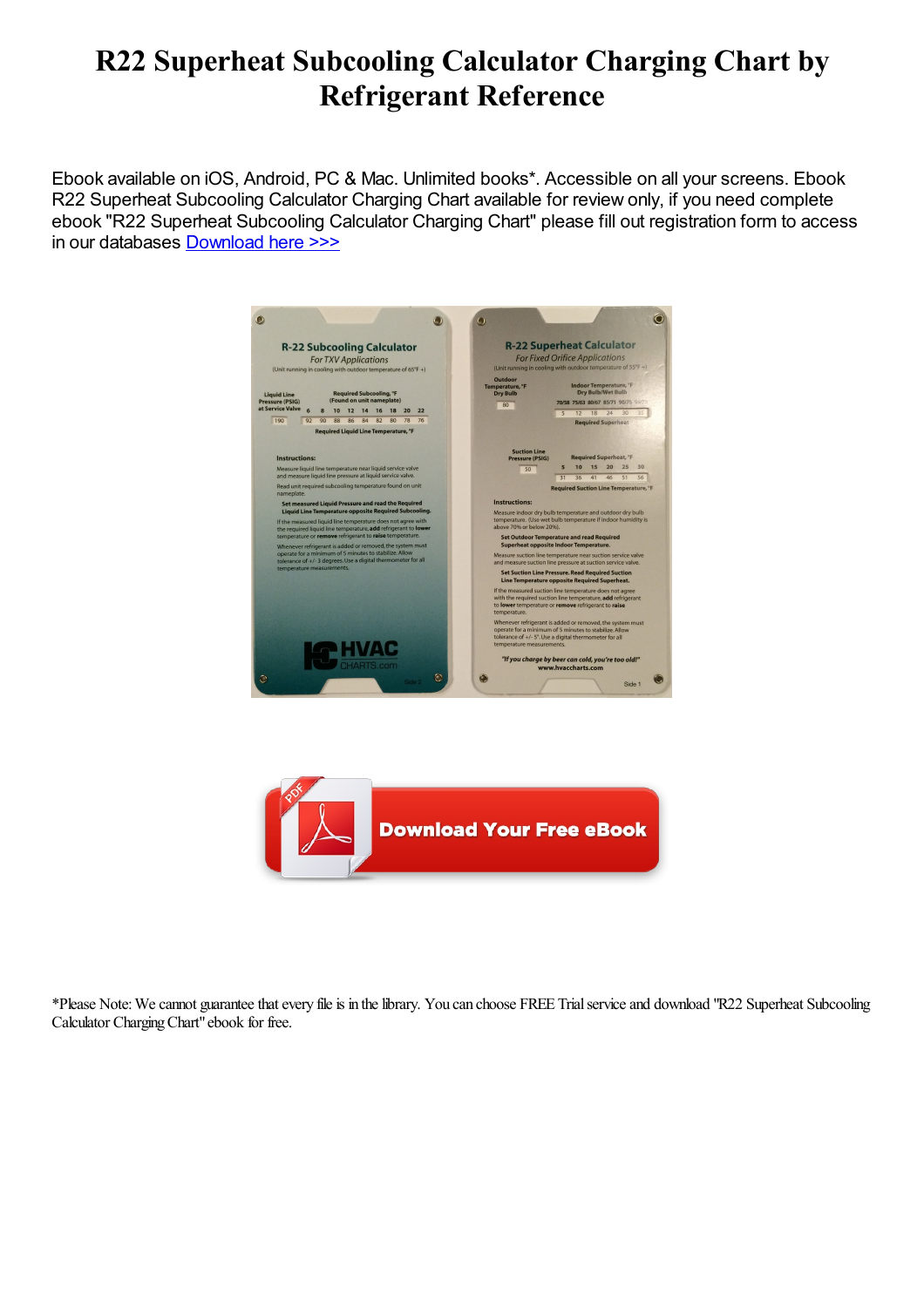# R22 Superheat Subcooling Calculator Charging Chart by Refrigerant Reference

Ebook available on iOS, Android, PC & Mac. Unlimited books\*. Accessible on all your screens. Ebook R22 Superheat Subcooling Calculator Charging Chart available for review only, if you need complete ebook "R22 Superheat Subcooling Calculator Charging Chart" please fill out registration form to access in our databases [Download](https://damnweek.com/sbookfile/UjIyIFN1cGVyaGVhdCBTdWJjb29saW5nIENhbGN1bGF0b3IgQ2hhcmdpbmcgQ2hhcnQ=) here >>>

| <b>R-22 Subcooling Calculator</b><br><b>For TXV Applications</b><br>(Unit running in cooling with outdoor temperature of 65°F +)                                                                                  |                                                                                                                                                                                                                                                                                                                                                                    | <b>R-22 Superheat Calculator</b><br><b>For Fixed Orifice Applications</b><br>(Unit running in cooling with outdoor temperature of 55°F +)                                                                                                                                        |  |
|-------------------------------------------------------------------------------------------------------------------------------------------------------------------------------------------------------------------|--------------------------------------------------------------------------------------------------------------------------------------------------------------------------------------------------------------------------------------------------------------------------------------------------------------------------------------------------------------------|----------------------------------------------------------------------------------------------------------------------------------------------------------------------------------------------------------------------------------------------------------------------------------|--|
| <b>Liquid Line</b><br><b>Pressure (PSIG)</b><br>at Service Valve                                                                                                                                                  | <b>Required Subcooling, °F</b><br>(Found on unit nameplate)<br>6<br>12<br>14<br>18<br>20<br>10<br>16<br>22                                                                                                                                                                                                                                                         | Outdoor<br>Indoor Temperature, °F<br>Temperature, °F<br>Dry Bulb/Wet Bulb<br><b>Dry Bulb</b><br>70/58 75/63 80/67 85/71 90/75 95/75<br>80<br>18<br>24<br>30<br>$5\overline{5}$<br>12                                                                                             |  |
| 190                                                                                                                                                                                                               | 80<br>76<br>88<br>86<br>84<br>82<br>78<br>92<br>90<br>Required Liquid Line Temperature, °F                                                                                                                                                                                                                                                                         | <b>Required Superheat</b>                                                                                                                                                                                                                                                        |  |
| <b>Instructions:</b>                                                                                                                                                                                              | Measure liquid line temperature near liquid service valve<br>and measure liquid line pressure at liquid service valve.                                                                                                                                                                                                                                             | <b>Suction Line</b><br><b>Required Superheat, °F</b><br>Pressure (PSIG)<br>30<br>$5\overline{5}$<br>10<br>15<br>20<br>25<br>50<br>31<br>41<br>51<br>56<br>36<br>46                                                                                                               |  |
| nameplate.                                                                                                                                                                                                        | Read unit required subcooling temperature found on unit<br>Set measured Liquid Pressure and read the Required<br>Liquid Line Temperature opposite Required Subcooling.<br>If the measured liquid line temperature does not agree with<br>the required liquid line temperature, add refrigerant to lower<br>temperature or remove refrigerant to raise temperature. | <b>Required Suction Line Temperature, °F</b><br><b>Instructions:</b><br>Measure indoor dry bulb temperature and outdoor dry bulb<br>temperature. (Use wet bulb temperature if indoor humidity is<br>above 70% or below 20%).<br><b>Set Outdoor Temperature and read Required</b> |  |
| Whenever refrigerant is added or removed, the system must<br>operate for a minimum of 5 minutes to stabilize. Allow<br>tolerance of +/- 3 degrees. Use a digital thermometer for all<br>temperature measurements. |                                                                                                                                                                                                                                                                                                                                                                    | <b>Superheat opposite Indoor Temperature.</b><br>Measure suction line temperature near suction service valve                                                                                                                                                                     |  |
|                                                                                                                                                                                                                   |                                                                                                                                                                                                                                                                                                                                                                    | and measure suction line pressure at suction service valve.<br><b>Set Suction Line Pressure. Read Required Suction</b><br>Line Temperature opposite Required Superheat.                                                                                                          |  |
|                                                                                                                                                                                                                   |                                                                                                                                                                                                                                                                                                                                                                    | If the measured suction line temperature does not agree<br>with the required suction line temperature, add refrigerant<br>to lower temperature or remove refrigerant to raise<br>temperature.                                                                                    |  |
|                                                                                                                                                                                                                   | <b>LA HVAC</b>                                                                                                                                                                                                                                                                                                                                                     | Whenever refrigerant is added or removed, the system must<br>operate for a minimum of 5 minutes to stabilize. Allow<br>tolerance of +/- 5°. Use a digital thermometer for all<br>temperature measurements.                                                                       |  |



\*Please Note:Wecannot guaranteethatevery fileis in thelibrary. You can choose FREE Trialserviceand download "R22 Superheat Subcooling Calculator ChargingChart"ebook for free.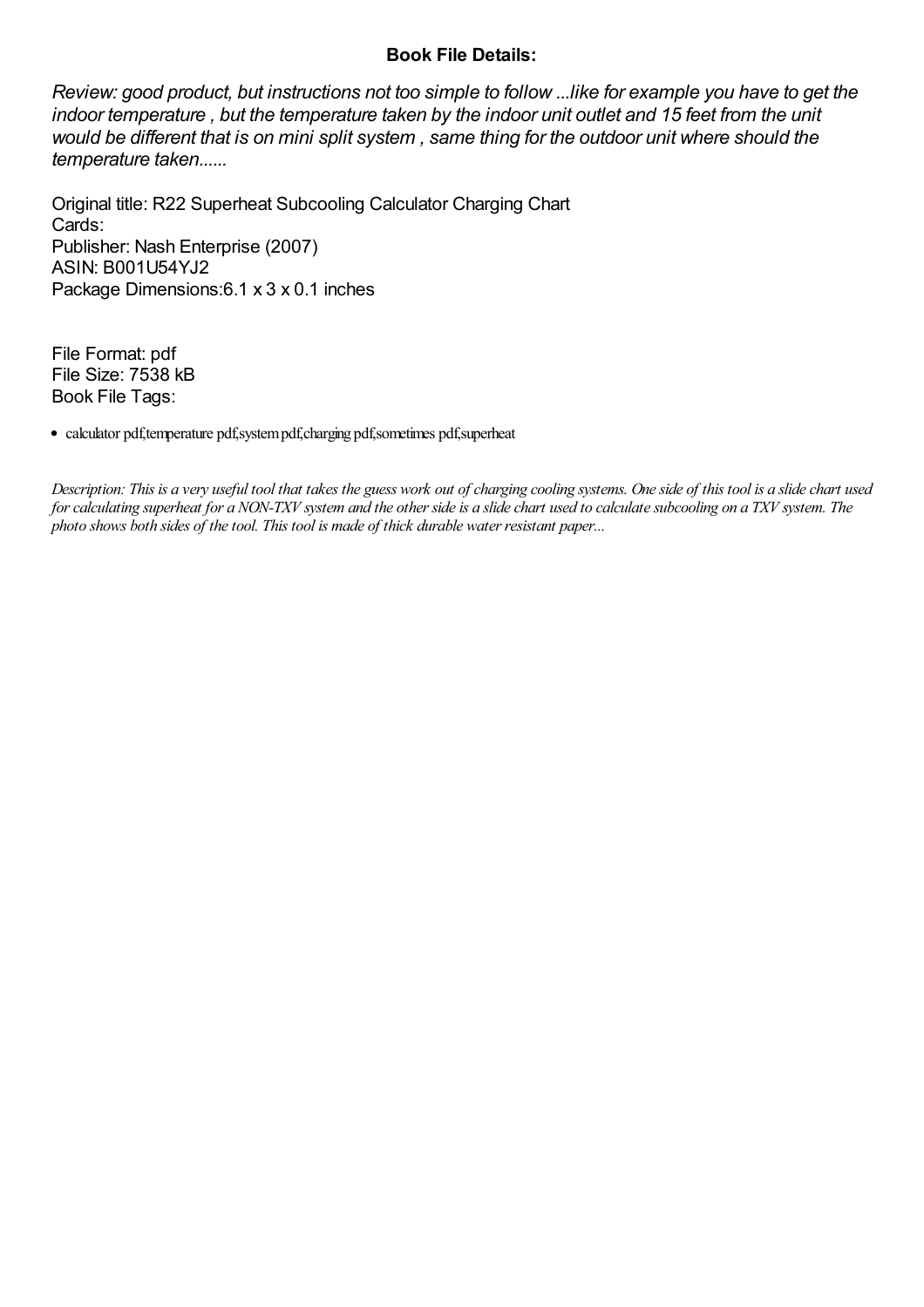### Book File Details:

Review: good product, but instructions not too simple to follow ...like for example you have to get the indoor temperature , but the temperature taken by the indoor unit outlet and 15 feet from the unit would be different that is on mini split system , same thing for the outdoor unit where should the temperature taken......

Original title: R22 Superheat Subcooling Calculator Charging Chart Cards: Publisher: Nash Enterprise (2007) ASIN: B001U54YJ2 Package Dimensions:6.1 x 3 x 0.1 inches

File Format: pdf File Size: 7538 kB Book File Tags:

calculator pdf,temperature pdf,systempdf,charging pdf,sometimes pdf,superheat

Description: This is a very useful tool that takes the guess work out of charging cooling systems. Oneside of this tool is a slidechart used for calculating superheat for a NON-TXV system and the other side is a slide chart used to calculate subcooling on a TXV system. The photo shows both sides of the tool. This tool is made of thick durable water resistant paper...